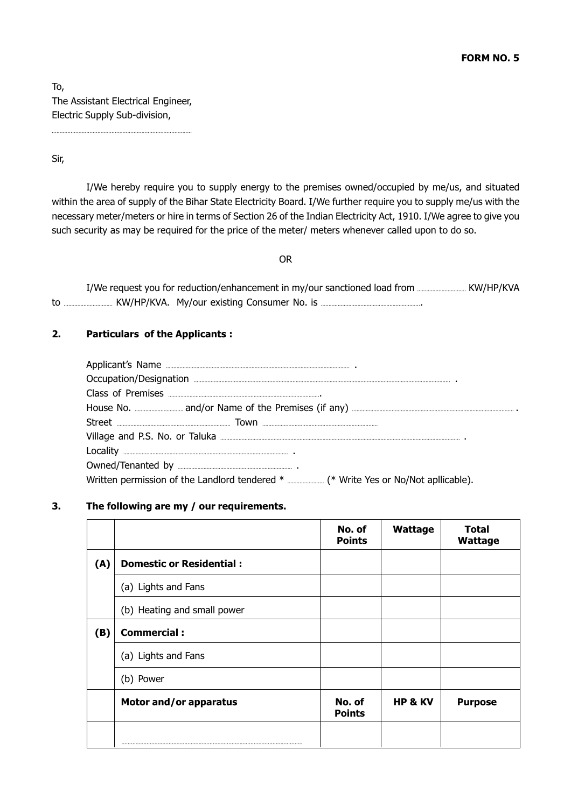FORM NO. 5

To, The Assistant Electrical Engineer, Electric Supply Sub-division,

Sir,

I/We hereby require you to supply energy to the premises owned/occupied by me/us, and situated within the area of supply of the Bihar State Electricity Board. I/We further require you to supply me/us with the necessary meter/meters or hire in terms of Section 26 of the Indian Electricity Act, 1910. I/We agree to give you such security as may be required for the price of the meter/ meters whenever called upon to do so.

# **OR**

### $2.$ **Particulars of the Applicants:**

| Applicant's Name <b>contract and the Contract of Applicant's</b> . |  |
|--------------------------------------------------------------------|--|
|                                                                    |  |
|                                                                    |  |
|                                                                    |  |
|                                                                    |  |
|                                                                    |  |
|                                                                    |  |
|                                                                    |  |
|                                                                    |  |

#### 3. The following are my / our requirements.

|     |                                 | No. of<br><b>Points</b> | Wattage            | <b>Total</b><br><b>Wattage</b> |
|-----|---------------------------------|-------------------------|--------------------|--------------------------------|
| (A) | <b>Domestic or Residential:</b> |                         |                    |                                |
|     | (a) Lights and Fans             |                         |                    |                                |
|     | (b) Heating and small power     |                         |                    |                                |
| (B) | <b>Commercial:</b>              |                         |                    |                                |
|     | (a) Lights and Fans             |                         |                    |                                |
|     | (b) Power                       |                         |                    |                                |
|     | Motor and/or apparatus          | No. of<br><b>Points</b> | <b>HP &amp; KV</b> | <b>Purpose</b>                 |
|     |                                 |                         |                    |                                |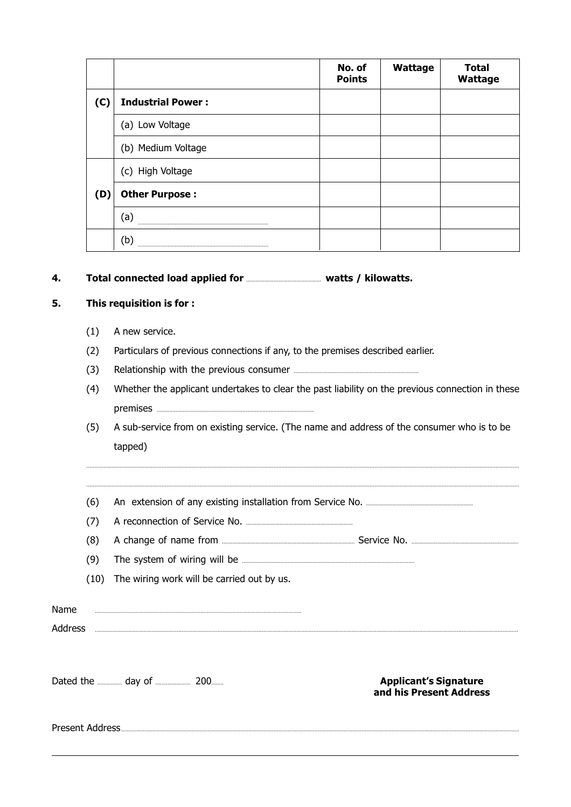|     |                          | No. of<br><b>Points</b> | Wattage | <b>Total</b><br>Wattage |
|-----|--------------------------|-------------------------|---------|-------------------------|
| (C) | <b>Industrial Power:</b> |                         |         |                         |
|     | (a) Low Voltage          |                         |         |                         |
|     | (b) Medium Voltage       |                         |         |                         |
| (D) | (c) High Voltage         |                         |         |                         |
|     | <b>Other Purpose:</b>    |                         |         |                         |
|     | (a)                      |                         |         |                         |
|     | (b)                      |                         |         |                         |

 $4.$ 

#### 5. This requisition is for :

- $(1)$ A new service.
- Particulars of previous connections if any, to the premises described earlier.  $(2)$
- $(3)$
- Whether the applicant undertakes to clear the past liability on the previous connection in these  $(4)$
- A sub-service from on existing service. (The name and address of the consumer who is to be  $(5)$ tapped)
- $(6)$
- $(7)$
- $(8)$
- $(9)$
- (10) The wiring work will be carried out by us.

Name 

**Applicant's Signature** and his Present Address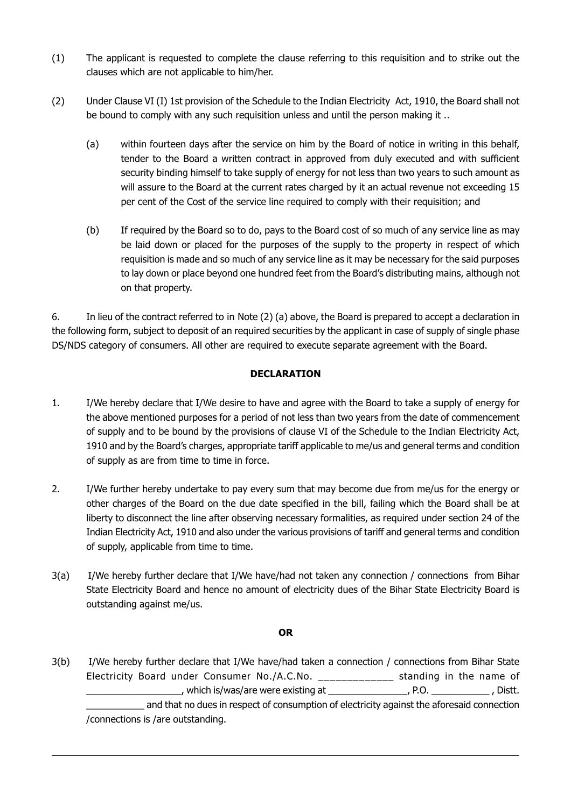- $(1)$ The applicant is requested to complete the clause referring to this requisition and to strike out the clauses which are not applicable to him/her.
- $(2)$ Under Clause VI (I) 1st provision of the Schedule to the Indian Electricity Act, 1910, the Board shall not be bound to comply with any such requisition unless and until the person making it...
	- $(a)$ within fourteen days after the service on him by the Board of notice in writing in this behalf. tender to the Board a written contract in approved from duly executed and with sufficient security binding himself to take supply of energy for not less than two years to such amount as will assure to the Board at the current rates charged by it an actual revenue not exceeding 15 per cent of the Cost of the service line required to comply with their requisition; and
	- $(b)$ If required by the Board so to do, pays to the Board cost of so much of any service line as may be laid down or placed for the purposes of the supply to the property in respect of which requisition is made and so much of any service line as it may be necessary for the said purposes to lay down or place beyond one hundred feet from the Board's distributing mains, although not on that property.

6. In lieu of the contract referred to in Note (2) (a) above, the Board is prepared to accept a declaration in the following form, subject to deposit of an required securities by the applicant in case of supply of single phase DS/NDS category of consumers. All other are required to execute separate agreement with the Board.

## **DECLARATION**

- $1.$ I/We hereby declare that I/We desire to have and agree with the Board to take a supply of energy for the above mentioned purposes for a period of not less than two years from the date of commencement of supply and to be bound by the provisions of clause VI of the Schedule to the Indian Electricity Act, 1910 and by the Board's charges, appropriate tariff applicable to me/us and general terms and condition of supply as are from time to time in force.
- $2.$ I/We further hereby undertake to pay every sum that may become due from me/us for the energy or other charges of the Board on the due date specified in the bill, failing which the Board shall be at liberty to disconnect the line after observing necessary formalities, as required under section 24 of the Indian Electricity Act, 1910 and also under the various provisions of tariff and general terms and condition of supply, applicable from time to time.
- $3(a)$ I/We hereby further declare that I/We have/had not taken any connection / connections from Bihar State Electricity Board and hence no amount of electricity dues of the Bihar State Electricity Board is outstanding against me/us.

### **OR**

 $3(b)$ I/We hereby further declare that I/We have/had taken a connection / connections from Bihar State Electricity Board under Consumer No./A.C.No. \_\_\_\_\_\_\_\_\_\_\_\_\_ standing in the name of \_\_\_\_\_\_\_\_, which is/was/are were existing at \_\_\_\_\_\_\_\_\_\_\_\_\_\_\_\_\_, P.O. \_\_\_\_\_\_\_\_\_\_, Distt. and that no dues in respect of consumption of electricity against the aforesaid connection /connections is /are outstanding.